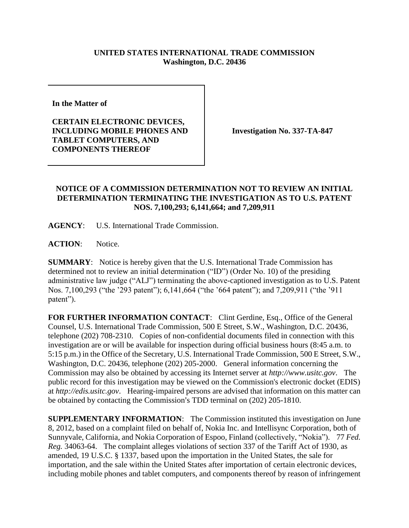## **UNITED STATES INTERNATIONAL TRADE COMMISSION Washington, D.C. 20436**

**In the Matter of** 

**CERTAIN ELECTRONIC DEVICES, INCLUDING MOBILE PHONES AND TABLET COMPUTERS, AND COMPONENTS THEREOF**

**Investigation No. 337-TA-847**

## **NOTICE OF A COMMISSION DETERMINATION NOT TO REVIEW AN INITIAL DETERMINATION TERMINATING THE INVESTIGATION AS TO U.S. PATENT NOS. 7,100,293; 6,141,664; and 7,209,911**

**AGENCY**: U.S. International Trade Commission.

**ACTION**: Notice.

**SUMMARY**: Notice is hereby given that the U.S. International Trade Commission has determined not to review an initial determination ("ID") (Order No. 10) of the presiding administrative law judge ("ALJ") terminating the above-captioned investigation as to U.S. Patent Nos. 7,100,293 ("the '293 patent"); 6,141,664 ("the '664 patent"); and 7,209,911 ("the '911 patent").

FOR FURTHER INFORMATION CONTACT: Clint Gerdine, Esq., Office of the General Counsel, U.S. International Trade Commission, 500 E Street, S.W., Washington, D.C. 20436, telephone (202) 708-2310. Copies of non-confidential documents filed in connection with this investigation are or will be available for inspection during official business hours (8:45 a.m. to 5:15 p.m.) in the Office of the Secretary, U.S. International Trade Commission, 500 E Street, S.W., Washington, D.C. 20436, telephone (202) 205-2000. General information concerning the Commission may also be obtained by accessing its Internet server at *http://www.usitc.gov*. The public record for this investigation may be viewed on the Commission's electronic docket (EDIS) at *http://edis.usitc.gov*. Hearing-impaired persons are advised that information on this matter can be obtained by contacting the Commission's TDD terminal on (202) 205-1810.

**SUPPLEMENTARY INFORMATION**: The Commission instituted this investigation on June 8, 2012, based on a complaint filed on behalf of, Nokia Inc. and Intellisync Corporation, both of Sunnyvale, California, and Nokia Corporation of Espoo, Finland (collectively, "Nokia"). 77 *Fed. Reg.* 34063-64. The complaint alleges violations of section 337 of the Tariff Act of 1930, as amended, 19 U.S.C. § 1337, based upon the importation in the United States, the sale for importation, and the sale within the United States after importation of certain electronic devices, including mobile phones and tablet computers, and components thereof by reason of infringement